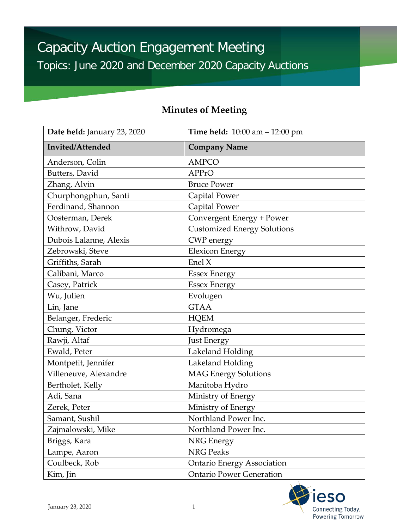| Date held: January 23, 2020<br>Invited/Attended | <b>Time held:</b> $10:00$ am $- 12:00$ pm<br><b>Company Name</b> |
|-------------------------------------------------|------------------------------------------------------------------|
|                                                 |                                                                  |
| Butters, David                                  | APPrO                                                            |
| Zhang, Alvin                                    | <b>Bruce Power</b>                                               |
| Churphongphun, Santi                            | Capital Power                                                    |
| Ferdinand, Shannon                              | <b>Capital Power</b>                                             |
| Oosterman, Derek                                | Convergent Energy + Power                                        |
| Withrow, David                                  | <b>Customized Energy Solutions</b>                               |
| Dubois Lalanne, Alexis                          | <b>CWP</b> energy                                                |
| Zebrowski, Steve                                | <b>Elexicon Energy</b>                                           |
| Griffiths, Sarah                                | Enel $X$                                                         |
| Calibani, Marco                                 | <b>Essex Energy</b>                                              |
| Casey, Patrick                                  | <b>Essex Energy</b>                                              |
| Wu, Julien                                      | Evolugen                                                         |
| Lin, Jane                                       | <b>GTAA</b>                                                      |
| Belanger, Frederic                              | <b>HQEM</b>                                                      |
| Chung, Victor                                   | Hydromega                                                        |
| Rawji, Altaf                                    | <b>Just Energy</b>                                               |
| Ewald, Peter                                    | Lakeland Holding                                                 |
| Montpetit, Jennifer                             | Lakeland Holding                                                 |
| Villeneuve, Alexandre                           | <b>MAG Energy Solutions</b>                                      |
| Bertholet, Kelly                                | Manitoba Hydro                                                   |
| Adi, Sana                                       | Ministry of Energy                                               |
| Zerek, Peter                                    | Ministry of Energy                                               |
| Samant, Sushil                                  | Northland Power Inc.                                             |
| Zajmalowski, Mike                               | Northland Power Inc.                                             |
| Briggs, Kara                                    | NRG Energy                                                       |
| Lampe, Aaron                                    | <b>NRG Peaks</b>                                                 |
| Coulbeck, Rob                                   | <b>Ontario Energy Association</b>                                |
| Kim, Jin                                        | <b>Ontario Power Generation</b>                                  |

# **Minutes of Meeting**

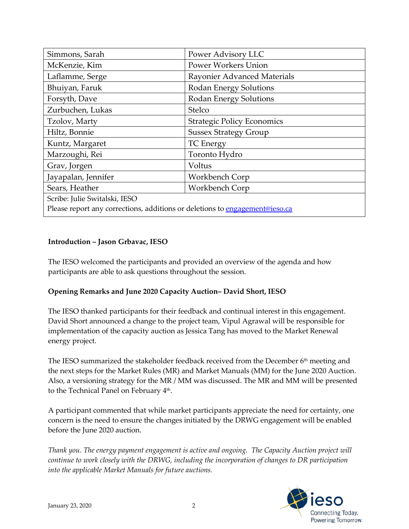| Simmons, Sarah                                                              | Power Advisory LLC                |
|-----------------------------------------------------------------------------|-----------------------------------|
| McKenzie, Kim                                                               | Power Workers Union               |
| Laflamme, Serge                                                             | Rayonier Advanced Materials       |
| Bhuiyan, Faruk                                                              | Rodan Energy Solutions            |
| Forsyth, Dave                                                               | Rodan Energy Solutions            |
| Zurbuchen, Lukas                                                            | Stelco                            |
| Tzolov, Marty                                                               | <b>Strategic Policy Economics</b> |
| Hiltz, Bonnie                                                               | <b>Sussex Strategy Group</b>      |
| Kuntz, Margaret                                                             | <b>TC</b> Energy                  |
| Marzoughi, Rei                                                              | Toronto Hydro                     |
| Grav, Jorgen                                                                | Voltus                            |
| Jayapalan, Jennifer                                                         | Workbench Corp                    |
| Sears, Heather                                                              | Workbench Corp                    |
| Scribe: Julie Switalski, IESO                                               |                                   |
| Please report any corrections, additions or deletions to engagement@ieso.ca |                                   |

## **Introduction – Jason Grbavac, IESO**

The IESO welcomed the participants and provided an overview of the agenda and how participants are able to ask questions throughout the session.

## **Opening Remarks and June 2020 Capacity Auction– David Short, IESO**

 The IESO thanked participants for their feedback and continual interest in this engagement. implementation of the capacity auction as Jessica Tang has moved to the Market Renewal David Short announced a change to the project team, Vipul Agrawal will be responsible for energy project.

The IESO summarized the stakeholder feedback received from the December  $6<sup>th</sup>$  meeting and the next steps for the Market Rules (MR) and Market Manuals (MM) for the June 2020 Auction. Also, a versioning strategy for the MR / MM was discussed. The MR and MM will be presented to the Technical Panel on February 4<sup>th</sup>.

 concern is the need to ensure the changes initiated by the DRWG engagement will be enabled A participant commented that while market participants appreciate the need for certainty, one before the June 2020 auction.

*Thank you. The energy payment engagement is active and ongoing. The Capacity Auction project will continue to work closely with the DRWG, including the incorporation of changes to DR participation into the applicable Market Manuals for future auctions.* 

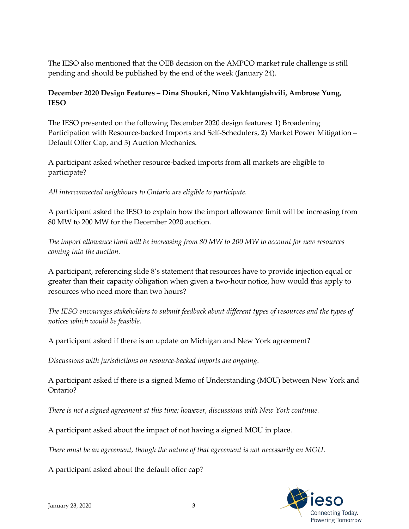pending and should be published by the end of the week (January 24). The IESO also mentioned that the OEB decision on the AMPCO market rule challenge is still

# **December 2020 Design Features – Dina Shoukri, Nino Vakhtangishvili, Ambrose Yung, IESO**

 Participation with Resource-backed Imports and Self-Schedulers, 2) Market Power Mitigation – The IESO presented on the following December 2020 design features: 1) Broadening Default Offer Cap, and 3) Auction Mechanics.

 A participant asked whether resource-backed imports from all markets are eligible to participate?

 *All interconnected neighbours to Ontario are eligible to participate.* 

 A participant asked the IESO to explain how the import allowance limit will be increasing from 80 MW to 200 MW for the December 2020 auction.

 *The import allowance limit will be increasing from 80 MW to 200 MW to account for new resources coming into the auction.* 

 A participant, referencing slide 8's statement that resources have to provide injection equal or greater than their capacity obligation when given a two-hour notice, how would this apply to resources who need more than two hours?

 *The IESO encourages stakeholders to submit feedback about different types of resources and the types of notices which would be feasible.* 

A participant asked if there is an update on Michigan and New York agreement?

*Discussions with jurisdictions on resource-backed imports are ongoing.* 

 A participant asked if there is a signed Memo of Understanding (MOU) between New York and Ontario?

*There is not a signed agreement at this time; however, discussions with New York continue.* 

A participant asked about the impact of not having a signed MOU in place.

 *There must be an agreement, though the nature of that agreement is not necessarily an MOU*.

A participant asked about the default offer cap?